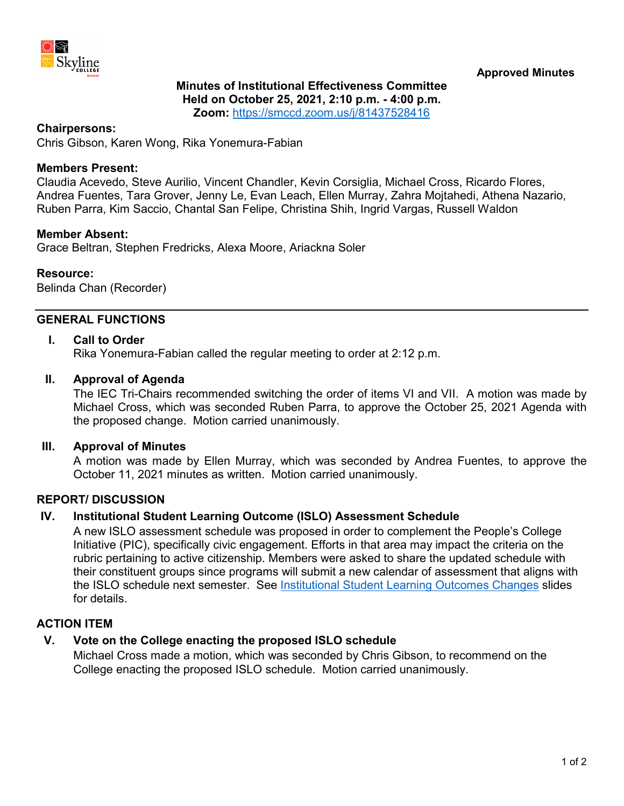

## **Minutes of Institutional Effectiveness Committee Held on October 25, 2021, 2:10 p.m. - 4:00 p.m. Zoom:** <https://smccd.zoom.us/j/81437528416>

#### **Chairpersons:**

Chris Gibson, Karen Wong, Rika Yonemura-Fabian

#### **Members Present:**

Claudia Acevedo, Steve Aurilio, Vincent Chandler, Kevin Corsiglia, Michael Cross, Ricardo Flores, Andrea Fuentes, Tara Grover, Jenny Le, Evan Leach, Ellen Murray, Zahra Mojtahedi, Athena Nazario, Ruben Parra, Kim Saccio, Chantal San Felipe, Christina Shih, Ingrid Vargas, Russell Waldon

#### **Member Absent:**

Grace Beltran, Stephen Fredricks, Alexa Moore, Ariackna Soler

#### **Resource:**

Belinda Chan (Recorder)

# **GENERAL FUNCTIONS**

#### **I. Call to Order**

Rika Yonemura-Fabian called the regular meeting to order at 2:12 p.m.

#### **II. Approval of Agenda**

The IEC Tri-Chairs recommended switching the order of items VI and VII. A motion was made by Michael Cross, which was seconded Ruben Parra, to approve the October 25, 2021 Agenda with the proposed change. Motion carried unanimously.

#### **III. Approval of Minutes**

A motion was made by Ellen Murray, which was seconded by Andrea Fuentes, to approve the October 11, 2021 minutes as written. Motion carried unanimously.

## **REPORT/ DISCUSSION**

## **IV. Institutional Student Learning Outcome (ISLO) Assessment Schedule**

A new ISLO assessment schedule was proposed in order to complement the People's College Initiative (PIC), specifically civic engagement. Efforts in that area may impact the criteria on the rubric pertaining to active citizenship. Members were asked to share the updated schedule with their constituent groups since programs will submit a new calendar of assessment that aligns with the ISLO schedule next semester. See [Institutional Student Learning Outcomes Changes](https://www.skylinecollege.edu/iec/assets/agendas/2021-2022/IEC-Slides-20211025.pdf) slides for details.

## **ACTION ITEM**

## **V. Vote on the College enacting the proposed ISLO schedule**

Michael Cross made a motion, which was seconded by Chris Gibson, to recommend on the College enacting the proposed ISLO schedule. Motion carried unanimously.